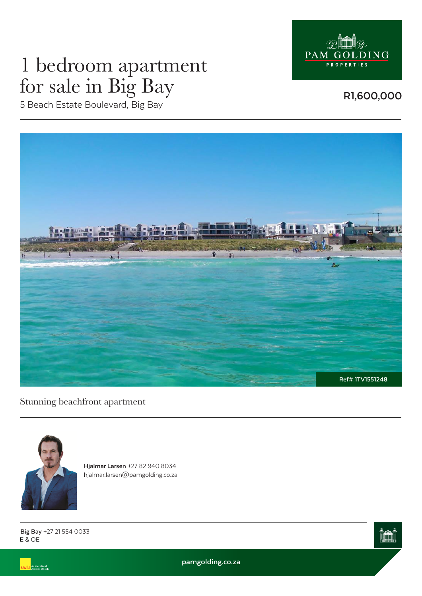

# 1 bedroom apartment for sale in Big Bay

5 Beach Estate Boulevard, Big Bay

**R1,600,000**



Stunning beachfront apartment



**Hjalmar Larsen** +27 82 940 8034 hjalmar.larsen@pamgolding.co.za

E & OE **Big Bay** +27 21 554 0033

.<br>An International<br>Associate of Savill



**pamgolding.co.za**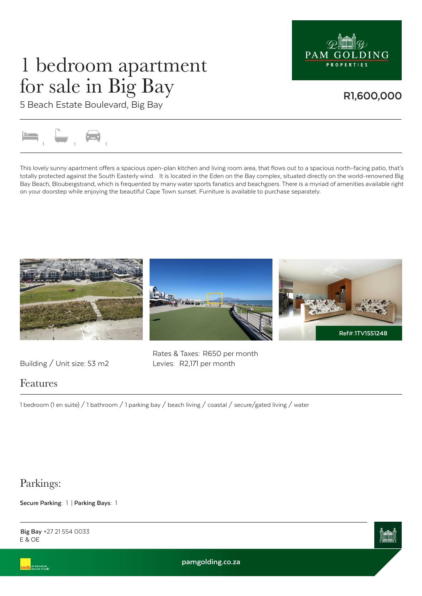

### 1 bedroom apartment for sale in Big Bay

**R1,600,000**

5 Beach Estate Boulevard, Big Bay



This lovely sunny apartment offers a spacious open-plan kitchen and living room area, that flows out to a spacious north-facing patio, that's totally protected against the South Easterly wind. It is located in the Eden on the Bay complex, situated directly on the world-renowned Big Bay Beach, Bloubergstrand, which is frequented by many water sports fanatics and beachgoers. There is a myriad of amenities available right on your doorstep while enjoying the beautiful Cape Town sunset. Furniture is available to purchase separately.





Building / Unit size: 53 m2 Levies: R2,171 per month

Rates & Taxes: R650 per month

#### Features

1 bedroom (1 en suite) / 1 bathroom / 1 parking bay / beach living / coastal / secure/gated living / water

### Parkings:

**Secure Parking:** 1 | **Parking Bays:** 1



E & OE **Big Bay** +27 21 554 0033

**pamgolding.co.za**